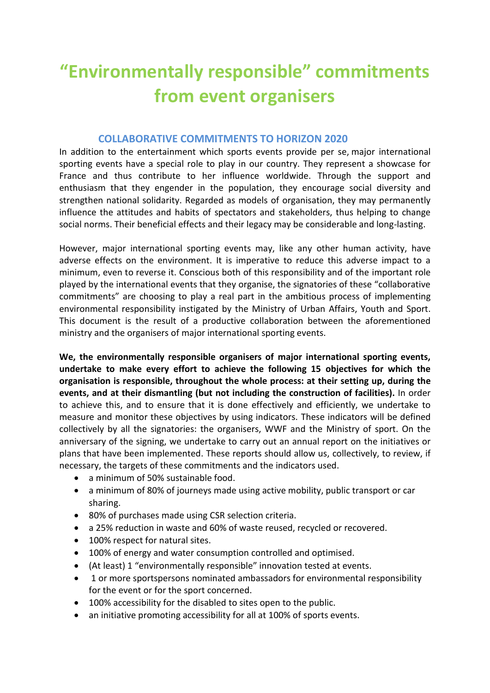# **"Environmentally responsible" commitments from event organisers**

## **COLLABORATIVE COMMITMENTS TO HORIZON 2020**

In addition to the entertainment which sports events provide per se, major international sporting events have a special role to play in our country. They represent a showcase for France and thus contribute to her influence worldwide. Through the support and enthusiasm that they engender in the population, they encourage social diversity and strengthen national solidarity. Regarded as models of organisation, they may permanently influence the attitudes and habits of spectators and stakeholders, thus helping to change social norms. Their beneficial effects and their legacy may be considerable and long-lasting.

However, major international sporting events may, like any other human activity, have adverse effects on the environment. It is imperative to reduce this adverse impact to a minimum, even to reverse it. Conscious both of this responsibility and of the important role played by the international events that they organise, the signatories of these "collaborative commitments" are choosing to play a real part in the ambitious process of implementing environmental responsibility instigated by the Ministry of Urban Affairs, Youth and Sport. This document is the result of a productive collaboration between the aforementioned ministry and the organisers of major international sporting events.

**We, the environmentally responsible organisers of major international sporting events, undertake to make every effort to achieve the following 15 objectives for which the organisation is responsible, throughout the whole process: at their setting up, during the events, and at their dismantling (but not including the construction of facilities).** In order to achieve this, and to ensure that it is done effectively and efficiently, we undertake to measure and monitor these objectives by using indicators. These indicators will be defined collectively by all the signatories: the organisers, WWF and the Ministry of sport. On the anniversary of the signing, we undertake to carry out an annual report on the initiatives or plans that have been implemented. These reports should allow us, collectively, to review, if necessary, the targets of these commitments and the indicators used.

- a minimum of 50% sustainable food.
- a minimum of 80% of journeys made using active mobility, public transport or car sharing.
- 80% of purchases made using CSR selection criteria.
- a 25% reduction in waste and 60% of waste reused, recycled or recovered.
- 100% respect for natural sites.
- 100% of energy and water consumption controlled and optimised.
- (At least) 1 "environmentally responsible" innovation tested at events.
- 1 or more sportspersons nominated ambassadors for environmental responsibility for the event or for the sport concerned.
- 100% accessibility for the disabled to sites open to the public.
- an initiative promoting accessibility for all at 100% of sports events.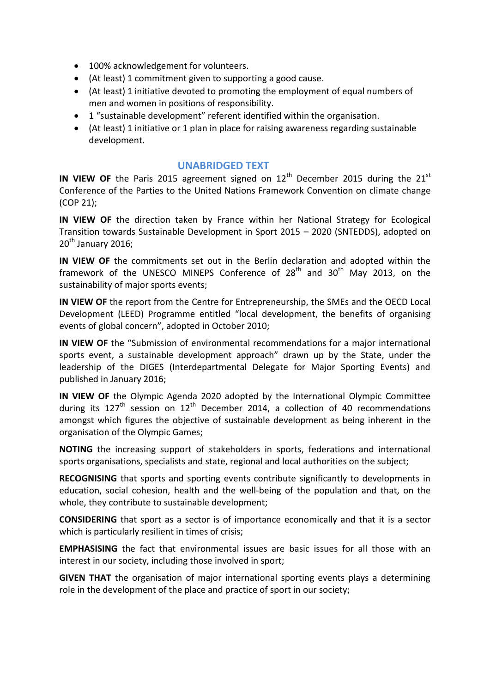- 100% acknowledgement for volunteers.
- (At least) 1 commitment given to supporting a good cause.
- (At least) 1 initiative devoted to promoting the employment of equal numbers of men and women in positions of responsibility.
- 1 "sustainable development" referent identified within the organisation.
- (At least) 1 initiative or 1 plan in place for raising awareness regarding sustainable development.

## **UNABRIDGED TEXT**

**IN VIEW OF** the Paris 2015 agreement signed on  $12<sup>th</sup>$  December 2015 during the  $21<sup>st</sup>$ Conference of the Parties to the United Nations Framework Convention on climate change (COP 21);

**IN VIEW OF** the direction taken by France within her National Strategy for Ecological Transition towards Sustainable Development in Sport 2015 – 2020 (SNTEDDS), adopted on  $20^{th}$  January 2016:

**IN VIEW OF** the commitments set out in the Berlin declaration and adopted within the framework of the UNESCO MINEPS Conference of  $28<sup>th</sup>$  and  $30<sup>th</sup>$  May 2013, on the sustainability of major sports events;

**IN VIEW OF** the report from the Centre for Entrepreneurship, the SMEs and the OECD Local Development (LEED) Programme entitled "local development, the benefits of organising events of global concern", adopted in October 2010;

**IN VIEW OF** the "Submission of environmental recommendations for a major international sports event, a sustainable development approach" drawn up by the State, under the leadership of the DIGES (Interdepartmental Delegate for Major Sporting Events) and published in January 2016;

**IN VIEW OF** the Olympic Agenda 2020 adopted by the International Olympic Committee during its 127<sup>th</sup> session on 12<sup>th</sup> December 2014, a collection of 40 recommendations amongst which figures the objective of sustainable development as being inherent in the organisation of the Olympic Games;

**NOTING** the increasing support of stakeholders in sports, federations and international sports organisations, specialists and state, regional and local authorities on the subject;

**RECOGNISING** that sports and sporting events contribute significantly to developments in education, social cohesion, health and the well-being of the population and that, on the whole, they contribute to sustainable development;

**CONSIDERING** that sport as a sector is of importance economically and that it is a sector which is particularly resilient in times of crisis;

**EMPHASISING** the fact that environmental issues are basic issues for all those with an interest in our society, including those involved in sport;

**GIVEN THAT** the organisation of major international sporting events plays a determining role in the development of the place and practice of sport in our society;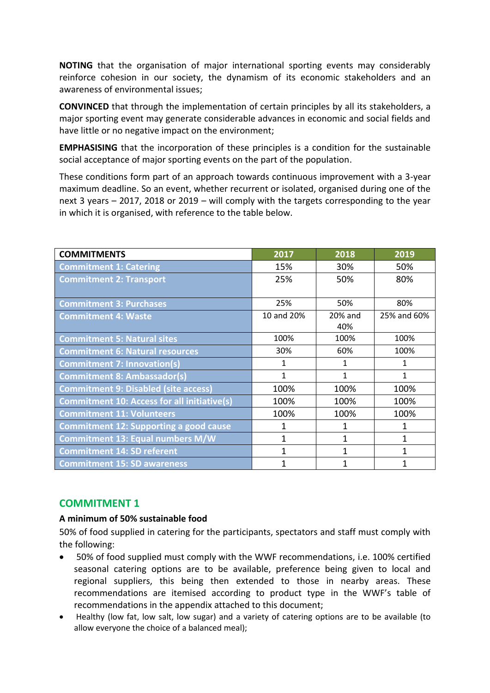**NOTING** that the organisation of major international sporting events may considerably reinforce cohesion in our society, the dynamism of its economic stakeholders and an awareness of environmental issues;

**CONVINCED** that through the implementation of certain principles by all its stakeholders, a major sporting event may generate considerable advances in economic and social fields and have little or no negative impact on the environment;

**EMPHASISING** that the incorporation of these principles is a condition for the sustainable social acceptance of major sporting events on the part of the population.

These conditions form part of an approach towards continuous improvement with a 3-year maximum deadline. So an event, whether recurrent or isolated, organised during one of the next 3 years – 2017, 2018 or 2019 – will comply with the targets corresponding to the year in which it is organised, with reference to the table below.

| <b>COMMITMENTS</b>                                 | 2017         | 2018         | 2019         |
|----------------------------------------------------|--------------|--------------|--------------|
| <b>Commitment 1: Catering</b>                      | 15%          | 30%          | 50%          |
| <b>Commitment 2: Transport</b>                     | 25%          | 50%          | 80%          |
|                                                    |              |              |              |
| <b>Commitment 3: Purchases</b>                     | 25%          | 50%          | 80%          |
| <b>Commitment 4: Waste</b>                         | 10 and 20%   | 20% and      | 25% and 60%  |
|                                                    |              | 40%          |              |
| <b>Commitment 5: Natural sites</b>                 | 100%         | 100%         | 100%         |
| <b>Commitment 6: Natural resources</b>             | 30%          | 60%          | 100%         |
| <b>Commitment 7: Innovation(s)</b>                 | 1            | 1            | $\mathbf{1}$ |
| <b>Commitment 8: Ambassador(s)</b>                 | $\mathbf{1}$ | $\mathbf{1}$ | $\mathbf{1}$ |
| <b>Commitment 9: Disabled (site access)</b>        | 100%         | 100%         | 100%         |
| <b>Commitment 10: Access for all initiative(s)</b> | 100%         | 100%         | 100%         |
| <b>Commitment 11: Volunteers</b>                   | 100%         | 100%         | 100%         |
| <b>Commitment 12: Supporting a good cause</b>      | 1            | 1            | 1            |
| <b>Commitment 13: Equal numbers M/W</b>            | $\mathbf{1}$ | $\mathbf{1}$ | 1            |
| <b>Commitment 14: SD referent</b>                  | 1            | 1            | $\mathbf{1}$ |
| <b>Commitment 15: SD awareness</b>                 |              |              |              |

## **COMMITMENT 1**

## **A minimum of 50% sustainable food**

50% of food supplied in catering for the participants, spectators and staff must comply with the following:

- 50% of food supplied must comply with the WWF recommendations, i.e. 100% certified seasonal catering options are to be available, preference being given to local and regional suppliers, this being then extended to those in nearby areas. These recommendations are itemised according to product type in the WWF's table of recommendations in the appendix attached to this document;
- Healthy (low fat, low salt, low sugar) and a variety of catering options are to be available (to allow everyone the choice of a balanced meal);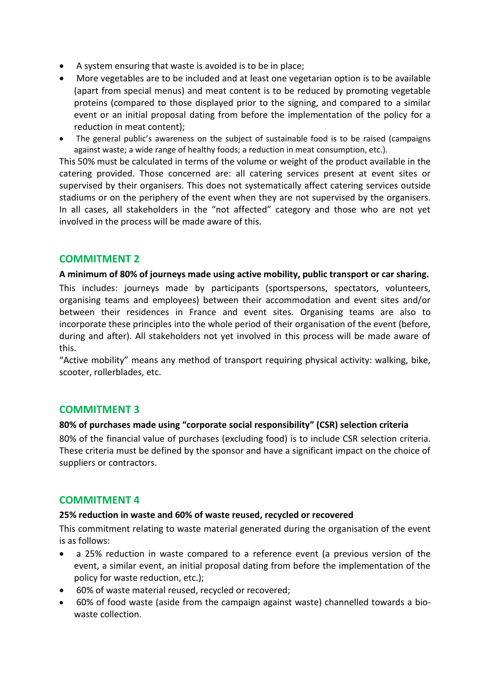- A system ensuring that waste is avoided is to be in place;
- More vegetables are to be included and at least one vegetarian option is to be available (apart from special menus) and meat content is to be reduced by promoting vegetable proteins (compared to those displayed prior to the signing, and compared to a similar event or an initial proposal dating from before the implementation of the policy for a reduction in meat content);
- The general public's awareness on the subject of sustainable food is to be raised (campaigns against waste; a wide range of healthy foods; a reduction in meat consumption, etc.).

This 50% must be calculated in terms of the volume or weight of the product available in the catering provided. Those concerned are: all catering services present at event sites or supervised by their organisers. This does not systematically affect catering services outside stadiums or on the periphery of the event when they are not supervised by the organisers. In all cases, all stakeholders in the "not affected" category and those who are not yet involved in the process will be made aware of this.

## **COMMITMENT 2**

### **A minimum of 80% of journeys made using active mobility, public transport or car sharing.**

This includes: journeys made by participants (sportspersons, spectators, volunteers, organising teams and employees) between their accommodation and event sites and/or between their residences in France and event sites. Organising teams are also to incorporate these principles into the whole period of their organisation of the event (before, during and after). All stakeholders not yet involved in this process will be made aware of this.

"Active mobility" means any method of transport requiring physical activity: walking, bike, scooter, rollerblades, etc.

## **COMMITMENT 3**

### **80% of purchases made using "corporate social responsibility" (CSR) selection criteria**

80% of the financial value of purchases (excluding food) is to include CSR selection criteria. These criteria must be defined by the sponsor and have a significant impact on the choice of suppliers or contractors.

## **COMMITMENT 4**

### **25% reduction in waste and 60% of waste reused, recycled or recovered**

This commitment relating to waste material generated during the organisation of the event is as follows:

- a 25% reduction in waste compared to a reference event (a previous version of the event, a similar event, an initial proposal dating from before the implementation of the policy for waste reduction, etc.);
- 60% of waste material reused, recycled or recovered;
- 60% of food waste (aside from the campaign against waste) channelled towards a biowaste collection.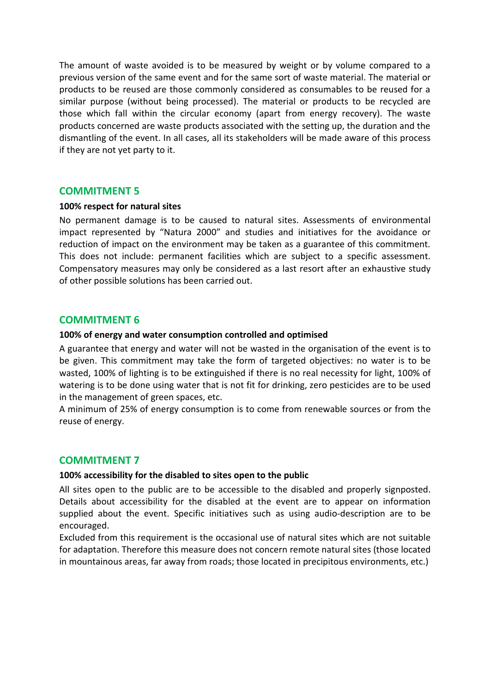The amount of waste avoided is to be measured by weight or by volume compared to a previous version of the same event and for the same sort of waste material. The material or products to be reused are those commonly considered as consumables to be reused for a similar purpose (without being processed). The material or products to be recycled are those which fall within the circular economy (apart from energy recovery). The waste products concerned are waste products associated with the setting up, the duration and the dismantling of the event. In all cases, all its stakeholders will be made aware of this process if they are not yet party to it.

#### **COMMITMENT 5**

#### **100% respect for natural sites**

No permanent damage is to be caused to natural sites. Assessments of environmental impact represented by "Natura 2000" and studies and initiatives for the avoidance or reduction of impact on the environment may be taken as a guarantee of this commitment. This does not include: permanent facilities which are subject to a specific assessment. Compensatory measures may only be considered as a last resort after an exhaustive study of other possible solutions has been carried out.

## **COMMITMENT 6**

#### **100% of energy and water consumption controlled and optimised**

A guarantee that energy and water will not be wasted in the organisation of the event is to be given. This commitment may take the form of targeted objectives: no water is to be wasted, 100% of lighting is to be extinguished if there is no real necessity for light, 100% of watering is to be done using water that is not fit for drinking, zero pesticides are to be used in the management of green spaces, etc.

A minimum of 25% of energy consumption is to come from renewable sources or from the reuse of energy.

### **COMMITMENT 7**

#### **100% accessibility for the disabled to sites open to the public**

All sites open to the public are to be accessible to the disabled and properly signposted. Details about accessibility for the disabled at the event are to appear on information supplied about the event. Specific initiatives such as using audio-description are to be encouraged.

Excluded from this requirement is the occasional use of natural sites which are not suitable for adaptation. Therefore this measure does not concern remote natural sites (those located in mountainous areas, far away from roads; those located in precipitous environments, etc.)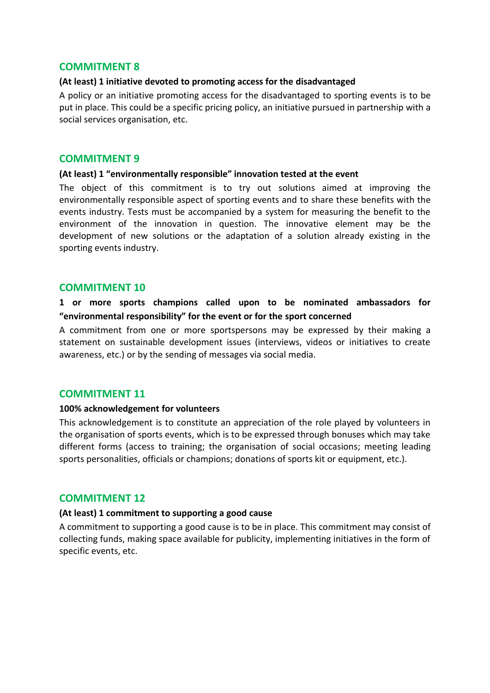### **COMMITMENT 8**

#### **(At least) 1 initiative devoted to promoting access for the disadvantaged**

A policy or an initiative promoting access for the disadvantaged to sporting events is to be put in place. This could be a specific pricing policy, an initiative pursued in partnership with a social services organisation, etc.

### **COMMITMENT 9**

#### **(At least) 1 "environmentally responsible" innovation tested at the event**

The object of this commitment is to try out solutions aimed at improving the environmentally responsible aspect of sporting events and to share these benefits with the events industry. Tests must be accompanied by a system for measuring the benefit to the environment of the innovation in question. The innovative element may be the development of new solutions or the adaptation of a solution already existing in the sporting events industry.

## **COMMITMENT 10**

## **1 or more sports champions called upon to be nominated ambassadors for "environmental responsibility" for the event or for the sport concerned**

A commitment from one or more sportspersons may be expressed by their making a statement on sustainable development issues (interviews, videos or initiatives to create awareness, etc.) or by the sending of messages via social media.

## **COMMITMENT 11**

### **100% acknowledgement for volunteers**

This acknowledgement is to constitute an appreciation of the role played by volunteers in the organisation of sports events, which is to be expressed through bonuses which may take different forms (access to training; the organisation of social occasions; meeting leading sports personalities, officials or champions; donations of sports kit or equipment, etc.).

### **COMMITMENT 12**

### **(At least) 1 commitment to supporting a good cause**

A commitment to supporting a good cause is to be in place. This commitment may consist of collecting funds, making space available for publicity, implementing initiatives in the form of specific events, etc.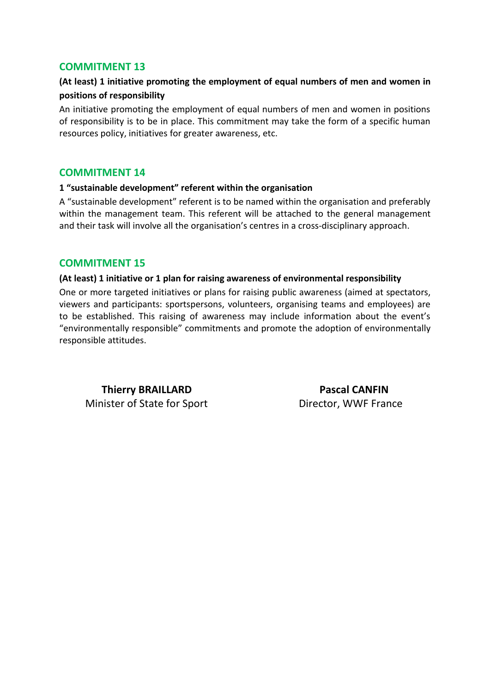## **COMMITMENT 13**

## **(At least) 1 initiative promoting the employment of equal numbers of men and women in positions of responsibility**

An initiative promoting the employment of equal numbers of men and women in positions of responsibility is to be in place. This commitment may take the form of a specific human resources policy, initiatives for greater awareness, etc.

### **COMMITMENT 14**

### **1 "sustainable development" referent within the organisation**

A "sustainable development" referent is to be named within the organisation and preferably within the management team. This referent will be attached to the general management and their task will involve all the organisation's centres in a cross-disciplinary approach.

## **COMMITMENT 15**

#### **(At least) 1 initiative or 1 plan for raising awareness of environmental responsibility**

One or more targeted initiatives or plans for raising public awareness (aimed at spectators, viewers and participants: sportspersons, volunteers, organising teams and employees) are to be established. This raising of awareness may include information about the event's "environmentally responsible" commitments and promote the adoption of environmentally responsible attitudes.

**Thierry BRAILLARD Pascal CANFIN Minister of State for Sport Director, WWF France**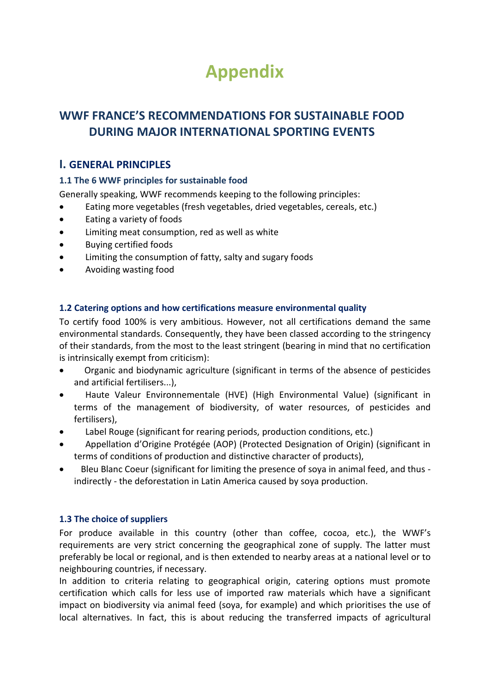## **Appendix**

## **WWF FRANCE'S RECOMMENDATIONS FOR SUSTAINABLE FOOD DURING MAJOR INTERNATIONAL SPORTING EVENTS**

## **I. GENERAL PRINCIPLES**

## **1.1 The 6 WWF principles for sustainable food**

Generally speaking, WWF recommends keeping to the following principles:

- Eating more vegetables (fresh vegetables, dried vegetables, cereals, etc.)
- Eating a variety of foods
- Limiting meat consumption, red as well as white
- Buying certified foods
- Limiting the consumption of fatty, salty and sugary foods
- Avoiding wasting food

## **1.2 Catering options and how certifications measure environmental quality**

To certify food 100% is very ambitious. However, not all certifications demand the same environmental standards. Consequently, they have been classed according to the stringency of their standards, from the most to the least stringent (bearing in mind that no certification is intrinsically exempt from criticism):

- Organic and biodynamic agriculture (significant in terms of the absence of pesticides and artificial fertilisers...),
- Haute Valeur Environnementale (HVE) (High Environmental Value) (significant in terms of the management of biodiversity, of water resources, of pesticides and fertilisers),
- Label Rouge (significant for rearing periods, production conditions, etc.)
- Appellation d'Origine Protégée (AOP) (Protected Designation of Origin) (significant in terms of conditions of production and distinctive character of products),
- Bleu Blanc Coeur (significant for limiting the presence of soya in animal feed, and thus indirectly - the deforestation in Latin America caused by soya production.

## **1.3 The choice of suppliers**

For produce available in this country (other than coffee, cocoa, etc.), the WWF's requirements are very strict concerning the geographical zone of supply. The latter must preferably be local or regional, and is then extended to nearby areas at a national level or to neighbouring countries, if necessary.

In addition to criteria relating to geographical origin, catering options must promote certification which calls for less use of imported raw materials which have a significant impact on biodiversity via animal feed (soya, for example) and which prioritises the use of local alternatives. In fact, this is about reducing the transferred impacts of agricultural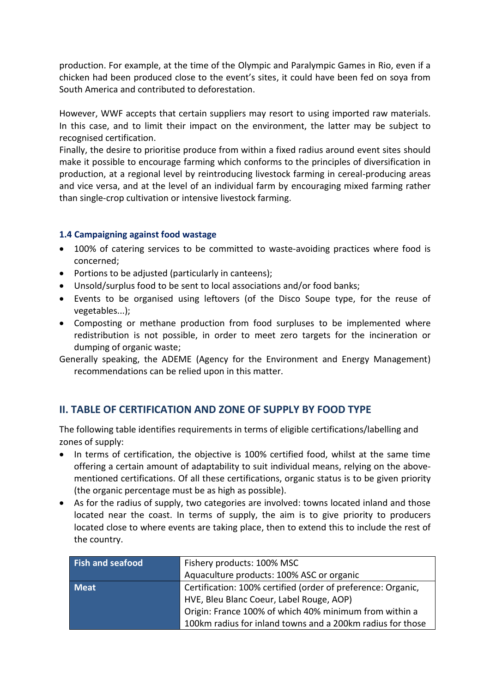production. For example, at the time of the Olympic and Paralympic Games in Rio, even if a chicken had been produced close to the event's sites, it could have been fed on soya from South America and contributed to deforestation.

However, WWF accepts that certain suppliers may resort to using imported raw materials. In this case, and to limit their impact on the environment, the latter may be subject to recognised certification.

Finally, the desire to prioritise produce from within a fixed radius around event sites should make it possible to encourage farming which conforms to the principles of diversification in production, at a regional level by reintroducing livestock farming in cereal-producing areas and vice versa, and at the level of an individual farm by encouraging mixed farming rather than single-crop cultivation or intensive livestock farming.

## **1.4 Campaigning against food wastage**

- 100% of catering services to be committed to waste-avoiding practices where food is concerned;
- Portions to be adjusted (particularly in canteens);
- Unsold/surplus food to be sent to local associations and/or food banks;
- Events to be organised using leftovers (of the Disco Soupe type, for the reuse of vegetables...);
- Composting or methane production from food surpluses to be implemented where redistribution is not possible, in order to meet zero targets for the incineration or dumping of organic waste;
- Generally speaking, the ADEME (Agency for the Environment and Energy Management) recommendations can be relied upon in this matter.

## **II. TABLE OF CERTIFICATION AND ZONE OF SUPPLY BY FOOD TYPE**

The following table identifies requirements in terms of eligible certifications/labelling and zones of supply:

- In terms of certification, the objective is 100% certified food, whilst at the same time offering a certain amount of adaptability to suit individual means, relying on the abovementioned certifications. Of all these certifications, organic status is to be given priority (the organic percentage must be as high as possible).
- As for the radius of supply, two categories are involved: towns located inland and those located near the coast. In terms of supply, the aim is to give priority to producers located close to where events are taking place, then to extend this to include the rest of the country.

| <b>Fish and seafood</b> | Fishery products: 100% MSC                                   |  |
|-------------------------|--------------------------------------------------------------|--|
|                         | Aquaculture products: 100% ASC or organic                    |  |
| <b>Meat</b>             | Certification: 100% certified (order of preference: Organic, |  |
|                         | HVE, Bleu Blanc Coeur, Label Rouge, AOP)                     |  |
|                         | Origin: France 100% of which 40% minimum from within a       |  |
|                         | 100km radius for inland towns and a 200km radius for those   |  |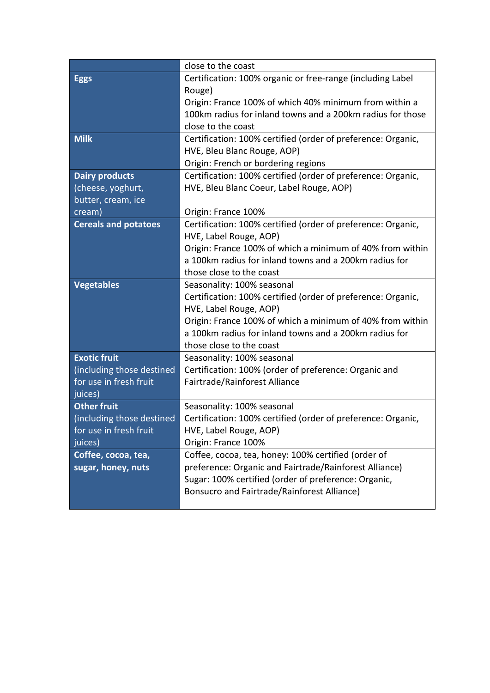|                             | close to the coast                                           |
|-----------------------------|--------------------------------------------------------------|
| <b>Eggs</b>                 | Certification: 100% organic or free-range (including Label   |
|                             | Rouge)                                                       |
|                             | Origin: France 100% of which 40% minimum from within a       |
|                             | 100km radius for inland towns and a 200km radius for those   |
|                             | close to the coast                                           |
| <b>Milk</b>                 | Certification: 100% certified (order of preference: Organic, |
|                             | HVE, Bleu Blanc Rouge, AOP)                                  |
|                             | Origin: French or bordering regions                          |
| <b>Dairy products</b>       | Certification: 100% certified (order of preference: Organic, |
| (cheese, yoghurt,           | HVE, Bleu Blanc Coeur, Label Rouge, AOP)                     |
| butter, cream, ice          |                                                              |
| cream)                      | Origin: France 100%                                          |
| <b>Cereals and potatoes</b> | Certification: 100% certified (order of preference: Organic, |
|                             | HVE, Label Rouge, AOP)                                       |
|                             | Origin: France 100% of which a minimum of 40% from within    |
|                             | a 100km radius for inland towns and a 200km radius for       |
|                             | those close to the coast                                     |
| <b>Vegetables</b>           | Seasonality: 100% seasonal                                   |
|                             | Certification: 100% certified (order of preference: Organic, |
|                             | HVE, Label Rouge, AOP)                                       |
|                             | Origin: France 100% of which a minimum of 40% from within    |
|                             | a 100km radius for inland towns and a 200km radius for       |
|                             | those close to the coast                                     |
| <b>Exotic fruit</b>         | Seasonality: 100% seasonal                                   |
| (including those destined   | Certification: 100% (order of preference: Organic and        |
| for use in fresh fruit      | Fairtrade/Rainforest Alliance                                |
| juices)                     |                                                              |
| <b>Other fruit</b>          | Seasonality: 100% seasonal                                   |
| (including those destined   | Certification: 100% certified (order of preference: Organic, |
| for use in fresh fruit      | HVE, Label Rouge, AOP)                                       |
| juices)                     | Origin: France 100%                                          |
| Coffee, cocoa, tea,         | Coffee, cocoa, tea, honey: 100% certified (order of          |
| sugar, honey, nuts          | preference: Organic and Fairtrade/Rainforest Alliance)       |
|                             | Sugar: 100% certified (order of preference: Organic,         |
|                             | Bonsucro and Fairtrade/Rainforest Alliance)                  |
|                             |                                                              |